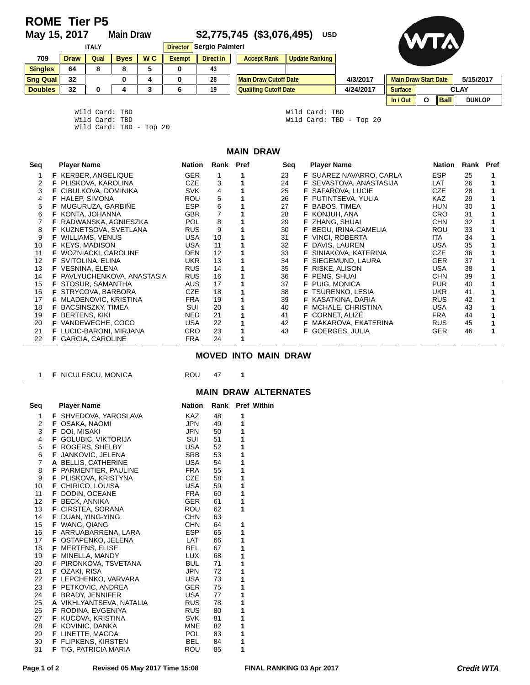# **ROME Tier P5**<br>May 15, 2017

## **May 15, 2017 Main Draw \$2,775,745 (\$3,076,495) USD**



| <b>ITALY</b>    |             |      |             | Director Sergio Palmieri |        |           |  |                              | <b>UZAV</b>    |           |                             |   |             |               |
|-----------------|-------------|------|-------------|--------------------------|--------|-----------|--|------------------------------|----------------|-----------|-----------------------------|---|-------------|---------------|
| 709             | <b>Draw</b> | Qual | <b>Byes</b> | W <sub>C</sub>           | Exempt | Direct In |  | <b>Accept Rank</b>           | Update Ranking |           |                             |   |             |               |
| <b>Singles</b>  | 64          |      | ۰           |                          | 0      | 43        |  |                              |                |           |                             |   |             |               |
| <b>Sng Qual</b> | 32          |      | 0           |                          |        | 28        |  | <b>Main Draw Cutoff Date</b> |                | 4/3/2017  | <b>Main Draw Start Date</b> |   |             | 5/15/2017     |
| <b>Doubles</b>  | 32          |      |             |                          | 6      | 19        |  | <b>Qualifing Cutoff Date</b> |                | 4/24/2017 | <b>Surface</b>              |   |             | <b>CLAY</b>   |
|                 |             |      |             |                          |        |           |  |                              |                |           | ln/Out                      | О | <b>Ball</b> | <b>DUNLOP</b> |

Wild Card: TBD Wild Card: TBD

Wild Card: TBD - Top 20

Wild Card: TBD<br>Wild Card: TBD - Top 20

### **MAIN DRAW**

| Seq | <b>Player Name</b>             | Nation     | Rank Pref      | Seq | <b>Player Name</b>             | Nation     | Rank Pref |  |
|-----|--------------------------------|------------|----------------|-----|--------------------------------|------------|-----------|--|
|     | <b>F</b> KERBER, ANGELIQUE     | <b>GER</b> |                | 23  | <b>F</b> SUAREZ NAVARRO, CARLA | <b>ESP</b> | 25        |  |
| 2   | F PLISKOVA, KAROLINA           | <b>CZE</b> | 3              | 24  | <b>F</b> SEVASTOVA, ANASTASIJA | LAT        | 26        |  |
| 3   | <b>F</b> CIBULKOVA, DOMINIKA   | <b>SVK</b> | 4              | 25  | <b>F</b> SAFAROVA, LUCIE       | <b>CZE</b> | 28        |  |
| 4   | <b>F</b> HALEP, SIMONA         | <b>ROU</b> | 5              | 26  | <b>F</b> PUTINTSEVA, YULIA     | <b>KAZ</b> | 29        |  |
| 5   | F MUGURUZA, GARBIÑE            | <b>ESP</b> | 6              | 27  | <b>BABOS, TIMEA</b>            | <b>HUN</b> | 30        |  |
| 6   | <b>F KONTA, JOHANNA</b>        | <b>GBR</b> | $\overline{7}$ | 28  | <b>F</b> KONJUH, ANA           | <b>CRO</b> | 31        |  |
|     | F RADWANSKA, AGNIESZKA         | <b>POL</b> | 8              | 29  | <b>F</b> ZHANG, SHUAI          | <b>CHN</b> | 32        |  |
| 8   | F KUZNETSOVA, SVETLANA         | <b>RUS</b> | 9              | 30  | F BEGU, IRINA-CAMELIA          | ROU        | 33        |  |
| 9   | <b>WILLIAMS, VENUS</b>         | <b>USA</b> | 10             | 31  | <b>VINCI, ROBERTA</b><br>F     | ITA.       | 34        |  |
| 10  | <b>F</b> KEYS, MADISON         | <b>USA</b> | 11             | 32  | DAVIS, LAUREN<br>F             | <b>USA</b> | 35        |  |
| 11  | <b>F</b> WOZNIACKI, CAROLINE   | <b>DEN</b> | 12             | 33  | SINIAKOVA, KATERINA            | <b>CZE</b> | 36        |  |
| 12  | <b>F</b> SVITOLINA, ELINA      | <b>UKR</b> | 13             | 34  | SIEGEMUND, LAURA<br>F.         | <b>GER</b> | 37        |  |
| 13  | F VESNINA, ELENA               | <b>RUS</b> | 14             | 35  | RISKE, ALISON<br>F.            | USA        | 38        |  |
| 14  | F PAVLYUCHENKOVA, ANASTASIA    | <b>RUS</b> | 16             | 36  | <b>F</b> PENG, SHUAI           | <b>CHN</b> | 39        |  |
| 15  | <b>F</b> STOSUR, SAMANTHA      | <b>AUS</b> | 17             | 37  | <b>F</b> PUIG, MONICA          | <b>PUR</b> | 40        |  |
| 16  | <b>F STRYCOVA, BARBORA</b>     | <b>CZE</b> | 18             | 38  | <b>F</b> TSURENKO, LESIA       | <b>UKR</b> | 41        |  |
| 17  | <b>F</b> MLADENOVIC, KRISTINA  | <b>FRA</b> | 19             | 39  | <b>F</b> KASATKINA, DARIA      | <b>RUS</b> | 42        |  |
| 18  | <b>F</b> BACSINSZKY, TIMEA     | SUI        | 20             | 40  | <b>F</b> MCHALE, CHRISTINA     | <b>USA</b> | 43        |  |
| 19  | <b>F</b> BERTENS, KIKI         | NED.       | 21             | 41  | <b>F</b> CORNET, ALIZE         | <b>FRA</b> | 44        |  |
| 20  | <b>F</b> VANDEWEGHE, COCO      | <b>USA</b> | 22             | 42  | MAKAROVA, EKATERINA<br>F.      | <b>RUS</b> | 45        |  |
| 21  | <b>F</b> LUCIC-BARONI, MIRJANA | CRO.       | 23             | 43  | <b>F</b> GOERGES, JULIA        | <b>GER</b> | 46        |  |
| 22  | <b>F</b> GARCIA, CAROLINE      | <b>FRA</b> | 24             |     |                                |            |           |  |

#### **MOVED INTO MAIN DRAW**

| 1                           | <b>F</b> NICULESCU, MONICA   | <b>ROU</b>    | 47 | 1 |                  |  |  |  |  |  |  |  |
|-----------------------------|------------------------------|---------------|----|---|------------------|--|--|--|--|--|--|--|
| <b>MAIN DRAW ALTERNATES</b> |                              |               |    |   |                  |  |  |  |  |  |  |  |
| Seq                         | <b>Player Name</b>           | <b>Nation</b> |    |   | Rank Pref Within |  |  |  |  |  |  |  |
| 1                           | <b>F</b> SHVEDOVA, YAROSLAVA | <b>KAZ</b>    | 48 | 1 |                  |  |  |  |  |  |  |  |
| 2                           | <b>F</b> OSAKA, NAOMI        | <b>JPN</b>    | 49 | 1 |                  |  |  |  |  |  |  |  |
| 3                           | <b>F</b> DOI, MISAKI         | <b>JPN</b>    | 50 | 1 |                  |  |  |  |  |  |  |  |
| 4                           | <b>F</b> GOLUBIC, VIKTORIJA  | <b>SUI</b>    | 51 | 1 |                  |  |  |  |  |  |  |  |
| 5                           | <b>F</b> ROGERS, SHELBY      | <b>USA</b>    | 52 | 1 |                  |  |  |  |  |  |  |  |
| 6                           | F JANKOVIC, JELENA           | <b>SRB</b>    | 53 | 1 |                  |  |  |  |  |  |  |  |
| 7                           | A BELLIS, CATHERINE          | <b>USA</b>    | 54 | 1 |                  |  |  |  |  |  |  |  |
| 8                           | F PARMENTIER, PAULINE        | <b>FRA</b>    | 55 | 1 |                  |  |  |  |  |  |  |  |
| 9                           | F PLISKOVA, KRISTYNA         | <b>CZE</b>    | 58 | 1 |                  |  |  |  |  |  |  |  |
| 10                          | <b>F</b> CHIRICO, LOUISA     | <b>USA</b>    | 59 | 1 |                  |  |  |  |  |  |  |  |
| 11                          | F DODIN, OCEANE              | <b>FRA</b>    | 60 | 1 |                  |  |  |  |  |  |  |  |
| 12                          | <b>F</b> BECK, ANNIKA        | <b>GER</b>    | 61 | 1 |                  |  |  |  |  |  |  |  |
| 13                          | <b>F</b> CIRSTEA, SORANA     | ROU           | 62 | 1 |                  |  |  |  |  |  |  |  |
| 14                          | F DUAN, YING-YING            | <b>CHN</b>    | 63 |   |                  |  |  |  |  |  |  |  |
| 15                          | <b>F</b> WANG, QIANG         | <b>CHN</b>    | 64 | 1 |                  |  |  |  |  |  |  |  |
| 16                          | <b>F</b> ARRUABARRENA, LARA  | <b>ESP</b>    | 65 | 1 |                  |  |  |  |  |  |  |  |
| 17                          | <b>F OSTAPENKO, JELENA</b>   | LAT           | 66 | 1 |                  |  |  |  |  |  |  |  |
| 18                          | <b>F</b> MERTENS, ELISE      | <b>BEL</b>    | 67 | 1 |                  |  |  |  |  |  |  |  |
| 19                          | <b>F</b> MINELLA, MANDY      | <b>LUX</b>    | 68 | 1 |                  |  |  |  |  |  |  |  |
| 20                          | <b>F</b> PIRONKOVA, TSVETANA | <b>BUL</b>    | 71 | 1 |                  |  |  |  |  |  |  |  |
| 21                          | <b>F</b> OZAKI, RISA         | <b>JPN</b>    | 72 | 1 |                  |  |  |  |  |  |  |  |
| 22                          | <b>F</b> LEPCHENKO, VARVARA  | <b>USA</b>    | 73 | 1 |                  |  |  |  |  |  |  |  |
| 23                          | <b>F</b> PETKOVIC, ANDREA    | <b>GER</b>    | 75 | 1 |                  |  |  |  |  |  |  |  |
| 24                          | <b>F</b> BRADY, JENNIFER     | <b>USA</b>    | 77 | 1 |                  |  |  |  |  |  |  |  |
| 25                          | A VIKHLYANTSEVA, NATALIA     | <b>RUS</b>    | 78 | 1 |                  |  |  |  |  |  |  |  |
| 26                          | <b>F</b> RODINA, EVGENIYA    | <b>RUS</b>    | 80 | 1 |                  |  |  |  |  |  |  |  |
| 27                          | <b>F</b> KUCOVA, KRISTINA    | <b>SVK</b>    | 81 | 1 |                  |  |  |  |  |  |  |  |
| 28                          | <b>F</b> KOVINIC, DANKA      | <b>MNE</b>    | 82 | 1 |                  |  |  |  |  |  |  |  |
| 29                          | <b>F</b> LINETTE, MAGDA      | <b>POL</b>    | 83 | 1 |                  |  |  |  |  |  |  |  |
| 30                          | <b>F</b> FLIPKENS, KIRSTEN   | <b>BEL</b>    | 84 | 1 |                  |  |  |  |  |  |  |  |
| 31                          | <b>F</b> TIG, PATRICIA MARIA | ROU           | 85 | 1 |                  |  |  |  |  |  |  |  |